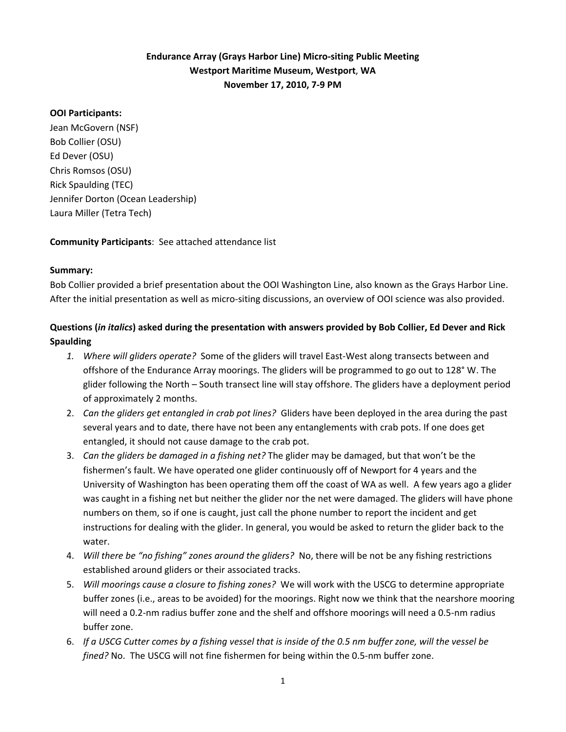# **Endurance Array (Grays Harbor Line) Micro‐siting Public Meeting Westport Maritime Museum, Westport**, **WA November 17, 2010, 7‐9 PM**

### **OOI Participants:**

Jean McGovern (NSF) Bob Collier (OSU) Ed Dever (OSU) Chris Romsos (OSU) Rick Spaulding (TEC) Jennifer Dorton (Ocean Leadership) Laura Miller (Tetra Tech)

**Community Participants**: See attached attendance list

#### **Summary:**

Bob Collier provided a brief presentation about the OOI Washington Line, also known as the Grays Harbor Line. After the initial presentation as well as micro‐siting discussions, an overview of OOI science was also provided.

# Questions (in italics) asked during the presentation with answers provided by Bob Collier, Ed Dever and Rick **Spaulding**

- *1. Where will gliders operate?* Some of the gliders will travel East‐West along transects between and offshore of the Endurance Array moorings. The gliders will be programmed to go out to 128° W. The glider following the North – South transect line will stay offshore. The gliders have a deployment period of approximately 2 months.
- 2. *Can the gliders get entangled in crab pot lines?* Gliders have been deployed in the area during the past several years and to date, there have not been any entanglements with crab pots. If one does get entangled, it should not cause damage to the crab pot.
- 3. *Can the gliders be damaged in a fishing net?* The glider may be damaged, but that won't be the fishermen's fault. We have operated one glider continuously off of Newport for 4 years and the University of Washington has been operating them off the coast of WA as well. A few years ago a glider was caught in a fishing net but neither the glider nor the net were damaged. The gliders will have phone numbers on them, so if one is caught, just call the phone number to report the incident and get instructions for dealing with the glider. In general, you would be asked to return the glider back to the water.
- 4. *Will there be "no fishing" zones around the gliders?* No, there will be not be any fishing restrictions established around gliders or their associated tracks.
- 5. *Will moorings cause a closure to fishing zones?* We will work with the USCG to determine appropriate buffer zones (i.e., areas to be avoided) for the moorings. Right now we think that the nearshore mooring will need a 0.2‐nm radius buffer zone and the shelf and offshore moorings will need a 0.5‐nm radius buffer zone.
- 6. If a USCG Cutter comes by a fishing vessel that is inside of the 0.5 nm buffer zone, will the vessel be *fined?* No. The USCG will not fine fishermen for being within the 0.5‐nm buffer zone.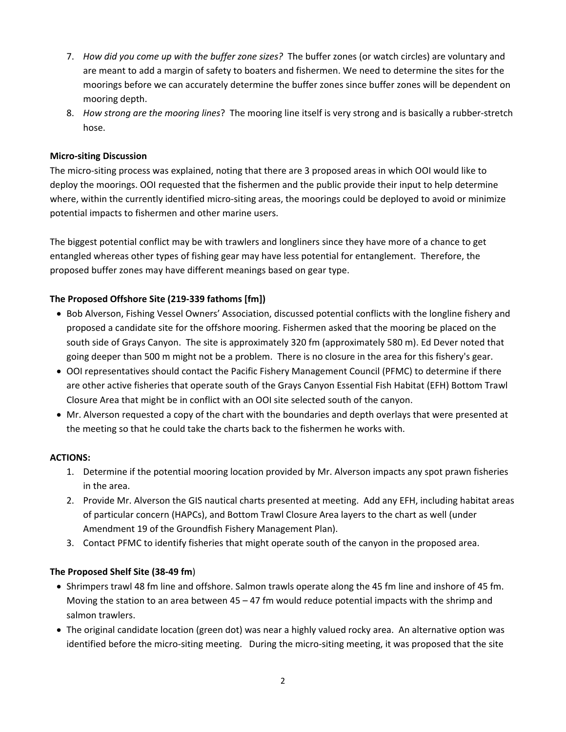- 7. *How did you come up with the buffer zone sizes?* The buffer zones (or watch circles) are voluntary and are meant to add a margin of safety to boaters and fishermen. We need to determine the sites for the moorings before we can accurately determine the buffer zones since buffer zones will be dependent on mooring depth.
- 8. *How strong are the mooring lines*? The mooring line itself is very strong and is basically a rubber‐stretch hose.

### **Micro‐siting Discussion**

The micro‐siting process was explained, noting that there are 3 proposed areas in which OOI would like to deploy the moorings. OOI requested that the fishermen and the public provide their input to help determine where, within the currently identified micro-siting areas, the moorings could be deployed to avoid or minimize potential impacts to fishermen and other marine users.

The biggest potential conflict may be with trawlers and longliners since they have more of a chance to get entangled whereas other types of fishing gear may have less potential for entanglement. Therefore, the proposed buffer zones may have different meanings based on gear type.

### **The Proposed Offshore Site (219‐339 fathoms [fm])**

- Bob Alverson, Fishing Vessel Owners' Association, discussed potential conflicts with the longline fishery and proposed a candidate site for the offshore mooring. Fishermen asked that the mooring be placed on the south side of Grays Canyon. The site is approximately 320 fm (approximately 580 m). Ed Dever noted that going deeper than 500 m might not be a problem. There is no closure in the area for this fishery's gear.
- OOI representatives should contact the Pacific Fishery Management Council (PFMC) to determine if there are other active fisheries that operate south of the Grays Canyon Essential Fish Habitat (EFH) Bottom Trawl Closure Area that might be in conflict with an OOI site selected south of the canyon.
- Mr. Alverson requested a copy of the chart with the boundaries and depth overlays that were presented at the meeting so that he could take the charts back to the fishermen he works with.

#### **ACTIONS:**

- 1. Determine if the potential mooring location provided by Mr. Alverson impacts any spot prawn fisheries in the area.
- 2. Provide Mr. Alverson the GIS nautical charts presented at meeting. Add any EFH, including habitat areas of particular concern (HAPCs), and Bottom Trawl Closure Area layers to the chart as well (under Amendment 19 of the Groundfish Fishery Management Plan).
- 3. Contact PFMC to identify fisheries that might operate south of the canyon in the proposed area.

#### **The Proposed Shelf Site (38‐49 fm**)

- Shrimpers trawl 48 fm line and offshore. Salmon trawls operate along the 45 fm line and inshore of 45 fm. Moving the station to an area between 45 – 47 fm would reduce potential impacts with the shrimp and salmon trawlers.
- The original candidate location (green dot) was near a highly valued rocky area. An alternative option was identified before the micro‐siting meeting. During the micro‐siting meeting, it was proposed that the site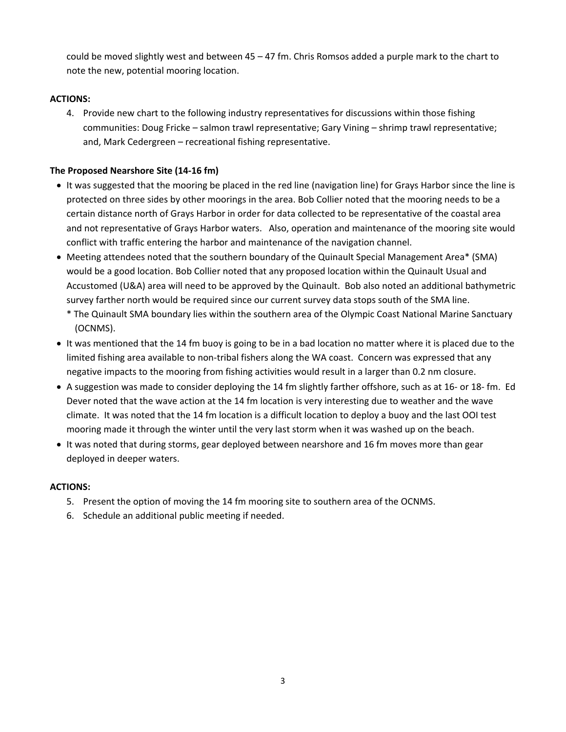could be moved slightly west and between 45 – 47 fm. Chris Romsos added a purple mark to the chart to note the new, potential mooring location.

## **ACTIONS:**

4. Provide new chart to the following industry representatives for discussions within those fishing communities: Doug Fricke – salmon trawl representative; Gary Vining – shrimp trawl representative; and, Mark Cedergreen – recreational fishing representative.

## **The Proposed Nearshore Site (14‐16 fm)**

- It was suggested that the mooring be placed in the red line (navigation line) for Grays Harbor since the line is protected on three sides by other moorings in the area. Bob Collier noted that the mooring needs to be a certain distance north of Grays Harbor in order for data collected to be representative of the coastal area and not representative of Grays Harbor waters. Also, operation and maintenance of the mooring site would conflict with traffic entering the harbor and maintenance of the navigation channel.
- Meeting attendees noted that the southern boundary of the Quinault Special Management Area\* (SMA) would be a good location. Bob Collier noted that any proposed location within the Quinault Usual and Accustomed (U&A) area will need to be approved by the Quinault. Bob also noted an additional bathymetric survey farther north would be required since our current survey data stops south of the SMA line.
	- \* The Quinault SMA boundary lies within the southern area of the Olympic Coast National Marine Sanctuary (OCNMS).
- It was mentioned that the 14 fm buoy is going to be in a bad location no matter where it is placed due to the limited fishing area available to non-tribal fishers along the WA coast. Concern was expressed that any negative impacts to the mooring from fishing activities would result in a larger than 0.2 nm closure.
- A suggestion was made to consider deploying the 14 fm slightly farther offshore, such as at 16‐ or 18‐ fm. Ed Dever noted that the wave action at the 14 fm location is very interesting due to weather and the wave climate. It was noted that the 14 fm location is a difficult location to deploy a buoy and the last OOI test mooring made it through the winter until the very last storm when it was washed up on the beach.
- It was noted that during storms, gear deployed between nearshore and 16 fm moves more than gear deployed in deeper waters.

## **ACTIONS:**

- 5. Present the option of moving the 14 fm mooring site to southern area of the OCNMS.
- 6. Schedule an additional public meeting if needed.